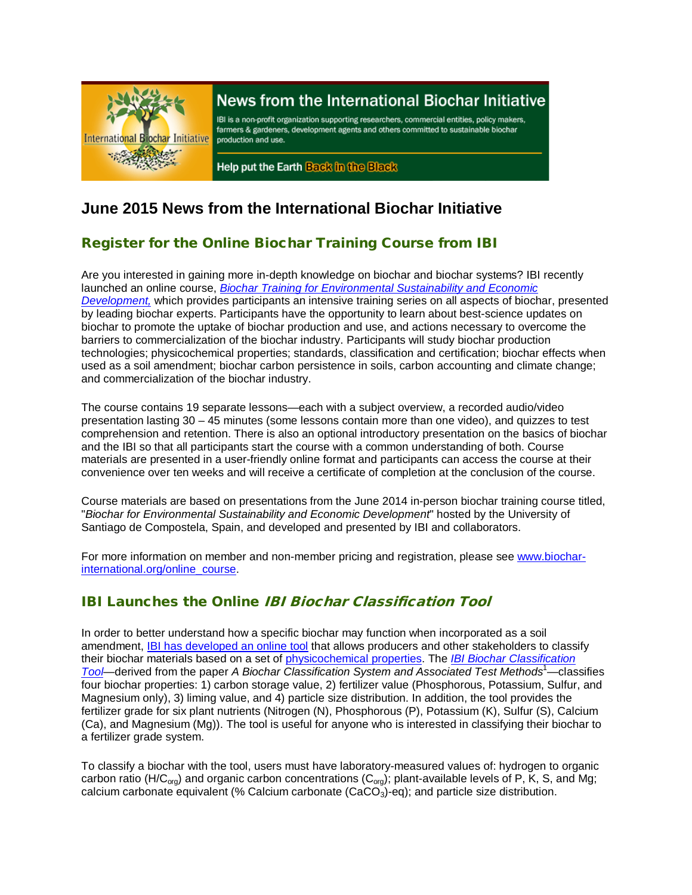

# News from the International Biochar Initiative

IBI is a non-profit organization supporting researchers, commercial entities, policy makers, farmers & gardeners, development agents and others committed to sustainable biochar production and use.

Help put the Earth Back in the Black

# **June 2015 News from the International Biochar Initiative**

## Register for the Online Biochar Training Course from IBI

Are you interested in gaining more in-depth knowledge on biochar and biochar systems? IBI recently launched an online course, *[Biochar Training for Environmental Sustainability and Economic](http://www.biochar-international.org/online_course)  [Development,](http://www.biochar-international.org/online_course)* which provides participants an intensive training series on all aspects of biochar, presented by leading biochar experts. Participants have the opportunity to learn about best-science updates on biochar to promote the uptake of biochar production and use, and actions necessary to overcome the barriers to commercialization of the biochar industry. Participants will study biochar production technologies; physicochemical properties; standards, classification and certification; biochar effects when used as a soil amendment; biochar carbon persistence in soils, carbon accounting and climate change; and commercialization of the biochar industry.

The course contains 19 separate lessons—each with a subject overview, a recorded audio/video presentation lasting 30 – 45 minutes (some lessons contain more than one video), and quizzes to test comprehension and retention. There is also an optional introductory presentation on the basics of biochar and the IBI so that all participants start the course with a common understanding of both. Course materials are presented in a user-friendly online format and participants can access the course at their convenience over ten weeks and will receive a certificate of completion at the conclusion of the course.

Course materials are based on presentations from the June 2014 in-person biochar training course titled, "*Biochar for Environmental Sustainability and Economic Development*" hosted by the University of Santiago de Compostela, Spain, and developed and presented by IBI and collaborators.

For more information on member and non-member pricing and registration, please se[e www.biochar](http://www.biochar-international.org/online_course)[international.org/online\\_course.](http://www.biochar-international.org/online_course)

# IBI Launches the Online IBI Biochar Classification Tool

In order to better understand how a specific biochar may function when incorporated as a soil amendment, **IBI has developed an online tool** that allows producers and other stakeholders to classify their biochar materials based on a set of [physicochemical properties.](http://www.biochar-international.org/characterizationstandard) The *[IBI Biochar Classification](http://www.biochar-international.org/classification_tool)  [Tool](http://www.biochar-international.org/classification_tool)*—derived from the paper *A Biochar Classification System and Associated Test Methods*<sup>1</sup> —classifies four biochar properties: 1) carbon storage value, 2) fertilizer value (Phosphorous, Potassium, Sulfur, and Magnesium only), 3) liming value, and 4) particle size distribution. In addition, the tool provides the fertilizer grade for six plant nutrients (Nitrogen (N), Phosphorous (P), Potassium (K), Sulfur (S), Calcium (Ca), and Magnesium (Mg)). The tool is useful for anyone who is interested in classifying their biochar to a fertilizer grade system.

To classify a biochar with the tool, users must have laboratory-measured values of: hydrogen to organic carbon ratio (H/C<sub>org</sub>) and organic carbon concentrations (C<sub>org</sub>); plant-available levels of P, K, S, and Mg; calcium carbonate equivalent (% Calcium carbonate  $(CaCO<sub>3</sub>)$ -eq); and particle size distribution.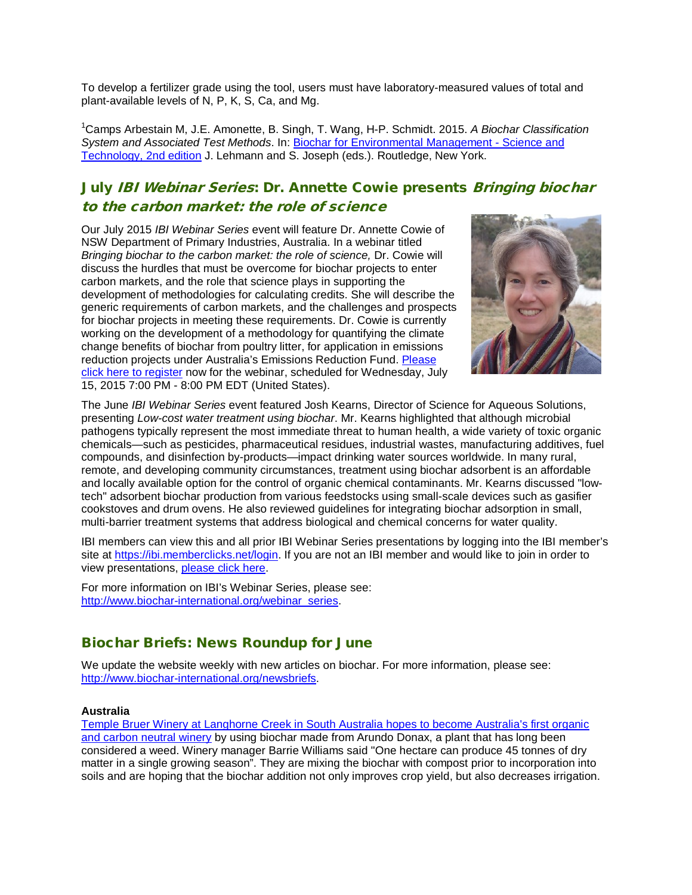To develop a fertilizer grade using the tool, users must have laboratory-measured values of total and plant-available levels of N, P, K, S, Ca, and Mg.

1 Camps Arbestain M, J.E. Amonette, B. Singh, T. Wang, H-P. Schmidt. 2015. *A Biochar Classification System and Associated Test Methods*. In: [Biochar for Environmental Management -](http://www.biochar-international.org/projects/book) Science and [Technology, 2nd edition](http://www.biochar-international.org/projects/book) J. Lehmann and S. Joseph (eds.). Routledge, New York.

# July IBI Webinar Series: Dr. Annette Cowie presents Bringing biochar to the carbon market: the role of science

Our July 2015 *IBI Webinar Series* event will feature Dr. Annette Cowie of NSW Department of Primary Industries, Australia. In a webinar titled *Bringing biochar to the carbon market: the role of science,* Dr. Cowie will discuss the hurdles that must be overcome for biochar projects to enter carbon markets, and the role that science plays in supporting the development of methodologies for calculating credits. She will describe the generic requirements of carbon markets, and the challenges and prospects for biochar projects in meeting these requirements. Dr. Cowie is currently working on the development of a methodology for quantifying the climate change benefits of biochar from poultry litter, for application in emissions reduction projects under Australia's Emissions Reduction Fund. [Please](https://attendee.gotowebinar.com/register/7980726352779708930)  click here [to register](https://attendee.gotowebinar.com/register/7980726352779708930) now for the webinar, scheduled for Wednesday, July 15, 2015 7:00 PM - 8:00 PM EDT (United States).



The June *IBI Webinar Series* event featured Josh Kearns, Director of Science for Aqueous Solutions, presenting *Low-cost water treatment using biochar*. Mr. Kearns highlighted that although microbial pathogens typically represent the most immediate threat to human health, a wide variety of toxic organic chemicals—such as pesticides, pharmaceutical residues, industrial wastes, manufacturing additives, fuel compounds, and disinfection by-products—impact drinking water sources worldwide. In many rural, remote, and developing community circumstances, treatment using biochar adsorbent is an affordable and locally available option for the control of organic chemical contaminants. Mr. Kearns discussed "lowtech" adsorbent biochar production from various feedstocks using small-scale devices such as gasifier cookstoves and drum ovens. He also reviewed guidelines for integrating biochar adsorption in small, multi-barrier treatment systems that address biological and chemical concerns for water quality.

IBI members can view this and all prior IBI Webinar Series presentations by logging into the IBI member's site at [https://ibi.memberclicks.net/login.](https://ibi.memberclicks.net/login) If you are not an IBI member and would like to join in order to view presentations, [please click here.](http://www.biochar-international.org/join)

For more information on IBI's Webinar Series, please see: [http://www.biochar-international.org/webinar\\_series.](http://ibi.memberclicks.net/message2/link/3b7fbc09-c4a7-4bda-994f-4e3b9cf57ba6/3)

### Biochar Briefs: News Roundup for June

We update the website weekly with new articles on biochar. For more information, please see: [http://www.biochar-international.org/newsbriefs.](http://ibi.memberclicks.net/message/urlRedir?id=61106&recip=2037fe9e-203a-4b7f-af3c-ac8774c71cbd)

#### **Australia**

[Temple Bruer Winery at Langhorne Creek in South Australia hopes to become Australia's first organic](http://www.abc.net.au/news/2015-06-09/arundo-organic-temple-bruer/6533036)  [and carbon neutral winery](http://www.abc.net.au/news/2015-06-09/arundo-organic-temple-bruer/6533036) by using biochar made from Arundo Donax, a plant that has long been considered a weed. Winery manager Barrie Williams said "One hectare can produce 45 tonnes of dry matter in a single growing season". They are mixing the biochar with compost prior to incorporation into soils and are hoping that the biochar addition not only improves crop yield, but also decreases irrigation.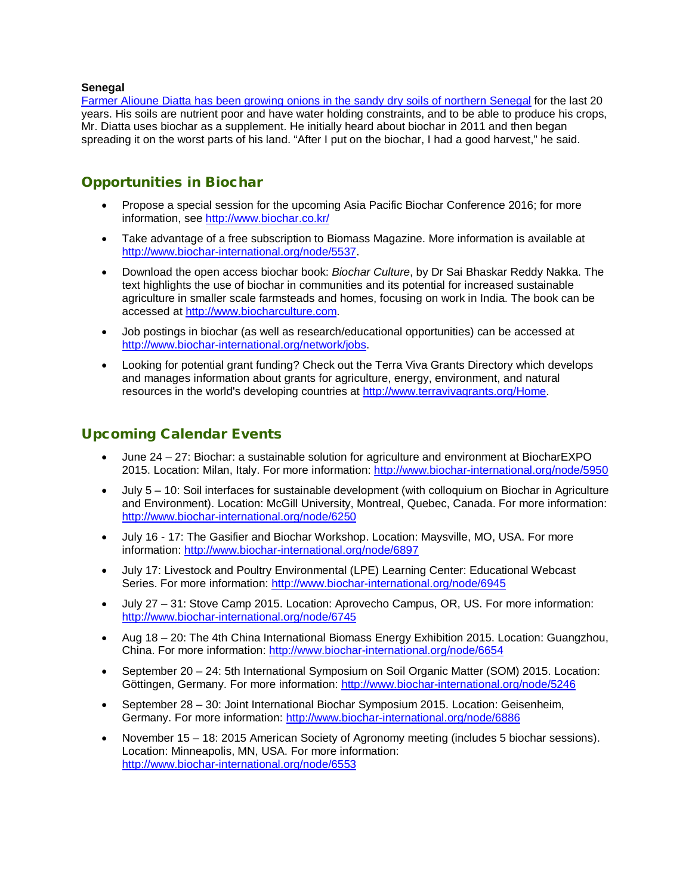#### **Senegal**

Farmer Alioune Diatta has been growing [onions in the sandy dry soils of northern Senegal](http://www.pbs.org/wgbh/nova/next/earth/biochar) for the last 20 years. His soils are nutrient poor and have water holding constraints, and to be able to produce his crops, Mr. Diatta uses biochar as a supplement. He initially heard about biochar in 2011 and then began spreading it on the worst parts of his land. "After I put on the biochar, I had a good harvest," he said.

# Opportunities in Biochar

- Propose a special session for the upcoming Asia Pacific Biochar Conference 2016; for more information, see<http://www.biochar.co.kr/>
- Take advantage of a free subscription to Biomass Magazine. More information is available at [http://www.biochar-international.org/node/5537.](http://www.biochar-international.org/node/5537)
- Download the open access biochar book: *Biochar Culture*, by Dr Sai Bhaskar Reddy Nakka. The text highlights the use of biochar in communities and its potential for increased sustainable agriculture in smaller scale farmsteads and homes, focusing on work in India. The book can be accessed at [http://www.biocharculture.com.](http://www.biocharculture.com/)
- Job postings in biochar (as well as research/educational opportunities) can be accessed at [http://www.biochar-international.org/network/jobs.](http://ibi.memberclicks.net/message/urlRedir?id=61120&recip=2037fe9e-203a-4b7f-af3c-ac8774c71cbd)
- Looking for potential grant funding? Check out the Terra Viva Grants Directory which develops and manages information about grants for agriculture, energy, environment, and natural resources in the world's developing countries at [http://www.terravivagrants.org/Home.](http://www.terravivagrants.org/Home)

## Upcoming Calendar Events

- June 24 27: Biochar: a sustainable solution for agriculture and environment at BiocharEXPO 2015. Location: Milan, Italy. For more information:<http://www.biochar-international.org/node/5950>
- July 5 10: Soil interfaces for sustainable development (with colloquium on Biochar in Agriculture and Environment). Location: McGill University, Montreal, Quebec, Canada. For more information: <http://www.biochar-international.org/node/6250>
- July 16 17: The Gasifier and Biochar Workshop. Location: Maysville, MO, USA. For more information:<http://www.biochar-international.org/node/6897>
- July 17: Livestock and Poultry Environmental (LPE) Learning Center: Educational Webcast Series. For more information:<http://www.biochar-international.org/node/6945>
- July 27 31: Stove Camp 2015. Location: Aprovecho Campus, OR, US. For more information: <http://www.biochar-international.org/node/6745>
- Aug 18 20: The 4th China International Biomass Energy Exhibition 2015. Location: Guangzhou, China. For more information:<http://www.biochar-international.org/node/6654>
- September 20 24: 5th International Symposium on Soil Organic Matter (SOM) 2015. Location: Göttingen, Germany. For more information:<http://www.biochar-international.org/node/5246>
- September 28 30: Joint International Biochar Symposium 2015. Location: Geisenheim, Germany. For more information:<http://www.biochar-international.org/node/6886>
- November 15 18: 2015 American Society of Agronomy meeting (includes 5 biochar sessions). Location: Minneapolis, MN, USA. For more information: <http://www.biochar-international.org/node/6553>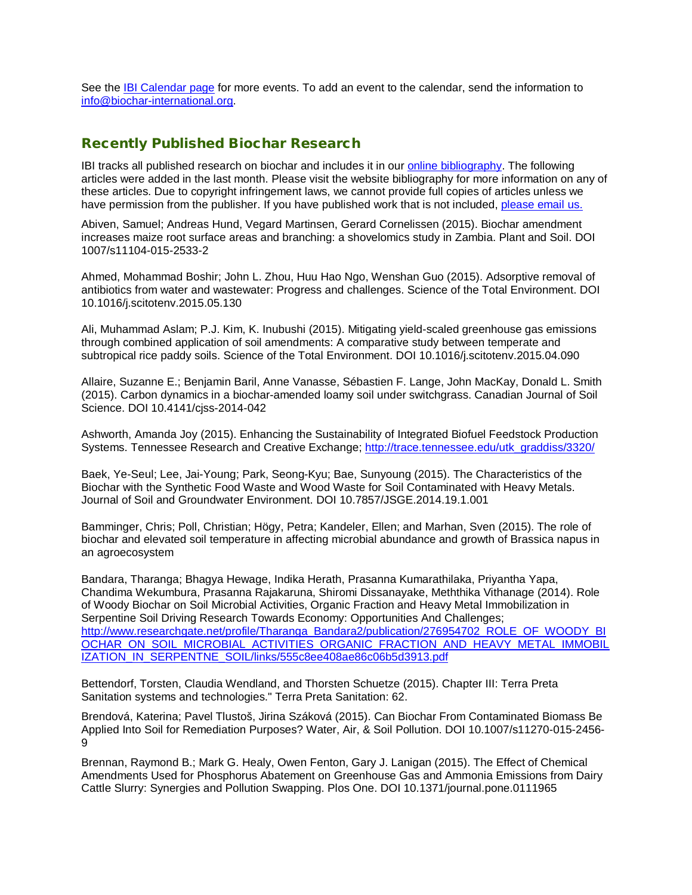See the **IBI Calendar page for more events**. To add an event to the calendar, send the information to [info@biochar-international.org.](http://ibi.memberclicks.net/message/urlRedir?id=61132&recip=2037fe9e-203a-4b7f-af3c-ac8774c71cbd)

### Recently Published Biochar Research

IBI tracks all published research on biochar and includes it in our [online bibliography.](http://ibi.memberclicks.net/message/urlRedir?id=24751&recip=be7c7021-8bab-4aa7-a274-1c95dcc834ca) The following articles were added in the last month. Please visit the website bibliography for more information on any of these articles. Due to copyright infringement laws, we cannot provide full copies of articles unless we have permission from the publisher. If you have published work that is not included, [please email us.](http://ibi.memberclicks.net/message/urlRedir?id=24748&recip=be7c7021-8bab-4aa7-a274-1c95dcc834ca)

Abiven, Samuel; Andreas Hund, Vegard Martinsen, Gerard Cornelissen (2015). Biochar amendment increases maize root surface areas and branching: a shovelomics study in Zambia. Plant and Soil. DOI 1007/s11104-015-2533-2

Ahmed, Mohammad Boshir; John L. Zhou, Huu Hao Ngo, Wenshan Guo (2015). Adsorptive removal of antibiotics from water and wastewater: Progress and challenges. Science of the Total Environment. DOI 10.1016/j.scitotenv.2015.05.130

Ali, Muhammad Aslam; P.J. Kim, K. Inubushi (2015). Mitigating yield-scaled greenhouse gas emissions through combined application of soil amendments: A comparative study between temperate and subtropical rice paddy soils. Science of the Total Environment. DOI 10.1016/j.scitotenv.2015.04.090

Allaire, Suzanne E.; Benjamin Baril, Anne Vanasse, Sébastien F. Lange, John MacKay, Donald L. Smith (2015). Carbon dynamics in a biochar-amended loamy soil under switchgrass. Canadian Journal of Soil Science. DOI 10.4141/cjss-2014-042

Ashworth, Amanda Joy (2015). Enhancing the Sustainability of Integrated Biofuel Feedstock Production Systems. Tennessee Research and Creative Exchange; [http://trace.tennessee.edu/utk\\_graddiss/3320/](http://trace.tennessee.edu/utk_graddiss/3320/)

Baek, Ye-Seul; Lee, Jai-Young; Park, Seong-Kyu; Bae, Sunyoung (2015). The Characteristics of the Biochar with the Synthetic Food Waste and Wood Waste for Soil Contaminated with Heavy Metals. Journal of Soil and Groundwater Environment. DOI 10.7857/JSGE.2014.19.1.001

Bamminger, Chris; Poll, Christian; Högy, Petra; Kandeler, Ellen; and Marhan, Sven (2015). The role of biochar and elevated soil temperature in affecting microbial abundance and growth of Brassica napus in an agroecosystem

Bandara, Tharanga; Bhagya Hewage, Indika Herath, Prasanna Kumarathilaka, Priyantha Yapa, Chandima Wekumbura, Prasanna Rajakaruna, Shiromi Dissanayake, Meththika Vithanage (2014). Role of Woody Biochar on Soil Microbial Activities, Organic Fraction and Heavy Metal Immobilization in Serpentine Soil Driving Research Towards Economy: Opportunities And Challenges; [http://www.researchgate.net/profile/Tharanga\\_Bandara2/publication/276954702\\_ROLE\\_OF\\_WOODY\\_BI](http://www.researchgate.net/profile/Tharanga_Bandara2/publication/276954702_ROLE_OF_WOODY_BIOCHAR_ON_SOIL_MICROBIAL_ACTIVITIES_ORGANIC_FRACTION_AND_HEAVY_METAL_IMMOBILIZATION_IN_SERPENTNE_SOIL/links/555c8ee408ae86c06b5d3913.pdf) [OCHAR\\_ON\\_SOIL\\_MICROBIAL\\_ACTIVITIES\\_ORGANIC\\_FRACTION\\_AND\\_HEAVY\\_METAL\\_IMMOBIL](http://www.researchgate.net/profile/Tharanga_Bandara2/publication/276954702_ROLE_OF_WOODY_BIOCHAR_ON_SOIL_MICROBIAL_ACTIVITIES_ORGANIC_FRACTION_AND_HEAVY_METAL_IMMOBILIZATION_IN_SERPENTNE_SOIL/links/555c8ee408ae86c06b5d3913.pdf) [IZATION\\_IN\\_SERPENTNE\\_SOIL/links/555c8ee408ae86c06b5d3913.pdf](http://www.researchgate.net/profile/Tharanga_Bandara2/publication/276954702_ROLE_OF_WOODY_BIOCHAR_ON_SOIL_MICROBIAL_ACTIVITIES_ORGANIC_FRACTION_AND_HEAVY_METAL_IMMOBILIZATION_IN_SERPENTNE_SOIL/links/555c8ee408ae86c06b5d3913.pdf)

Bettendorf, Torsten, Claudia Wendland, and Thorsten Schuetze (2015). Chapter III: Terra Preta Sanitation systems and technologies." Terra Preta Sanitation: 62.

Brendová, Katerina; Pavel Tlustoš, Jirina Száková (2015). Can Biochar From Contaminated Biomass Be Applied Into Soil for Remediation Purposes? Water, Air, & Soil Pollution. DOI 10.1007/s11270-015-2456- 9

Brennan, Raymond B.; Mark G. Healy, Owen Fenton, Gary J. Lanigan (2015). The Effect of Chemical Amendments Used for Phosphorus Abatement on Greenhouse Gas and Ammonia Emissions from Dairy Cattle Slurry: Synergies and Pollution Swapping. Plos One. DOI 10.1371/journal.pone.0111965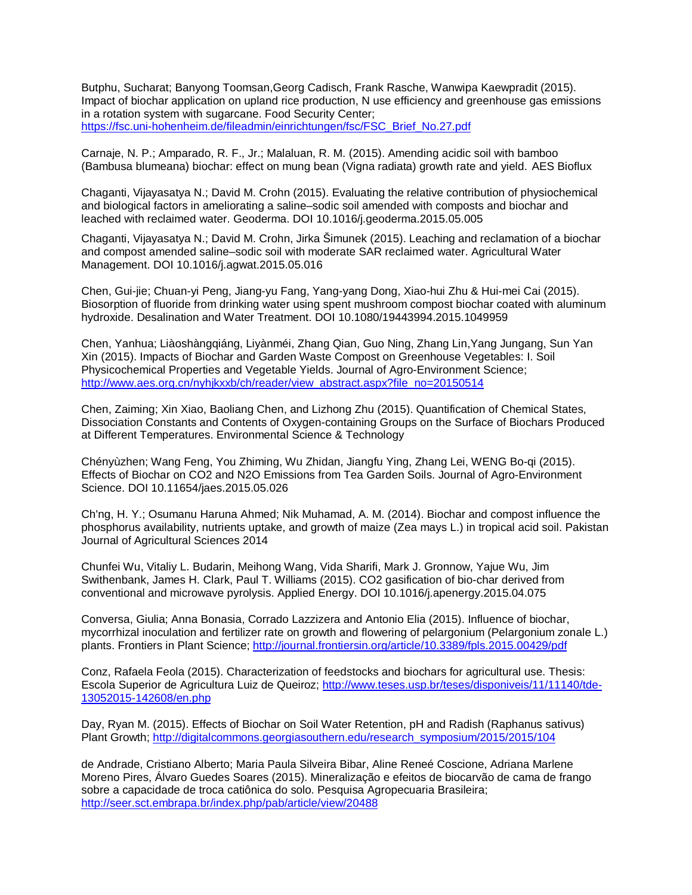Butphu, Sucharat; Banyong Toomsan,Georg Cadisch, Frank Rasche, Wanwipa Kaewpradit (2015). Impact of biochar application on upland rice production, N use efficiency and greenhouse gas emissions in a rotation system with sugarcane. Food Security Center; [https://fsc.uni-hohenheim.de/fileadmin/einrichtungen/fsc/FSC\\_Brief\\_No.27.pdf](https://fsc.uni-hohenheim.de/fileadmin/einrichtungen/fsc/FSC_Brief_No.27.pdf)

Carnaje, N. P.; Amparado, R. F., Jr.; Malaluan, R. M. (2015). Amending acidic soil with bamboo (Bambusa blumeana) biochar: effect on mung bean (Vigna radiata) growth rate and yield. AES Bioflux

Chaganti, Vijayasatya N.; David M. Crohn (2015). Evaluating the relative contribution of physiochemical and biological factors in ameliorating a saline–sodic soil amended with composts and biochar and leached with reclaimed water. Geoderma. DOI 10.1016/j.geoderma.2015.05.005

Chaganti, Vijayasatya N.; David M. Crohn, Jirka Šimunek (2015). Leaching and reclamation of a biochar and compost amended saline–sodic soil with moderate SAR reclaimed water. Agricultural Water Management. DOI 10.1016/j.agwat.2015.05.016

Chen, Gui-jie; Chuan-yi Peng, Jiang-yu Fang, Yang-yang Dong, Xiao-hui Zhu & Hui-mei Cai (2015). Biosorption of fluoride from drinking water using spent mushroom compost biochar coated with aluminum hydroxide. Desalination and Water Treatment. DOI 10.1080/19443994.2015.1049959

Chen, Yanhua; Liàoshàngqiáng, Liyànméi, Zhang Qian, Guo Ning, Zhang Lin,Yang Jungang, Sun Yan Xin (2015). Impacts of Biochar and Garden Waste Compost on Greenhouse Vegetables: I. Soil Physicochemical Properties and Vegetable Yields. Journal of Agro-Environment Science; [http://www.aes.org.cn/nyhjkxxb/ch/reader/view\\_abstract.aspx?file\\_no=20150514](http://www.aes.org.cn/nyhjkxxb/ch/reader/view_abstract.aspx?file_no=20150514)

Chen, Zaiming; Xin Xiao, Baoliang Chen, and Lizhong Zhu (2015). Quantification of Chemical States, Dissociation Constants and Contents of Oxygen-containing Groups on the Surface of Biochars Produced at Different Temperatures. Environmental Science & Technology

Chényùzhen; Wang Feng, You Zhiming, Wu Zhidan, Jiangfu Ying, Zhang Lei, WENG Bo-qi (2015). Effects of Biochar on CO2 and N2O Emissions from Tea Garden Soils. Journal of Agro-Environment Science. DOI 10.11654/jaes.2015.05.026

Ch'ng, H. Y.; Osumanu Haruna Ahmed; Nik Muhamad, A. M. (2014). Biochar and compost influence the phosphorus availability, nutrients uptake, and growth of maize (Zea mays L.) in tropical acid soil. Pakistan Journal of Agricultural Sciences 2014

Chunfei Wu, Vitaliy L. Budarin, Meihong Wang, Vida Sharifi, Mark J. Gronnow, Yajue Wu, Jim Swithenbank, James H. Clark, Paul T. Williams (2015). CO2 gasification of bio-char derived from conventional and microwave pyrolysis. Applied Energy. DOI 10.1016/j.apenergy.2015.04.075

Conversa, Giulia; Anna Bonasia, Corrado Lazzizera and Antonio Elia (2015). Influence of biochar, mycorrhizal inoculation and fertilizer rate on growth and flowering of pelargonium (Pelargonium zonale L.) plants. Frontiers in Plant Science[; http://journal.frontiersin.org/article/10.3389/fpls.2015.00429/pdf](http://journal.frontiersin.org/article/10.3389/fpls.2015.00429/pdf)

Conz, Rafaela Feola (2015). Characterization of feedstocks and biochars for agricultural use. Thesis: Escola Superior de Agricultura Luiz de Queiroz; [http://www.teses.usp.br/teses/disponiveis/11/11140/tde-](http://www.teses.usp.br/teses/disponiveis/11/11140/tde-13052015-142608/en.php)[13052015-142608/en.php](http://www.teses.usp.br/teses/disponiveis/11/11140/tde-13052015-142608/en.php)

Day, Ryan M. (2015). Effects of Biochar on Soil Water Retention, pH and Radish (Raphanus sativus) Plant Growth; [http://digitalcommons.georgiasouthern.edu/research\\_symposium/2015/2015/104](http://digitalcommons.georgiasouthern.edu/research_symposium/2015/2015/104)

de Andrade, Cristiano Alberto; Maria Paula Silveira Bibar, Aline Reneé Coscione, Adriana Marlene Moreno Pires, Álvaro Guedes Soares (2015). Mineralização e efeitos de biocarvão de cama de frango sobre a capacidade de troca catiônica do solo. Pesquisa Agropecuaria Brasileira; <http://seer.sct.embrapa.br/index.php/pab/article/view/20488>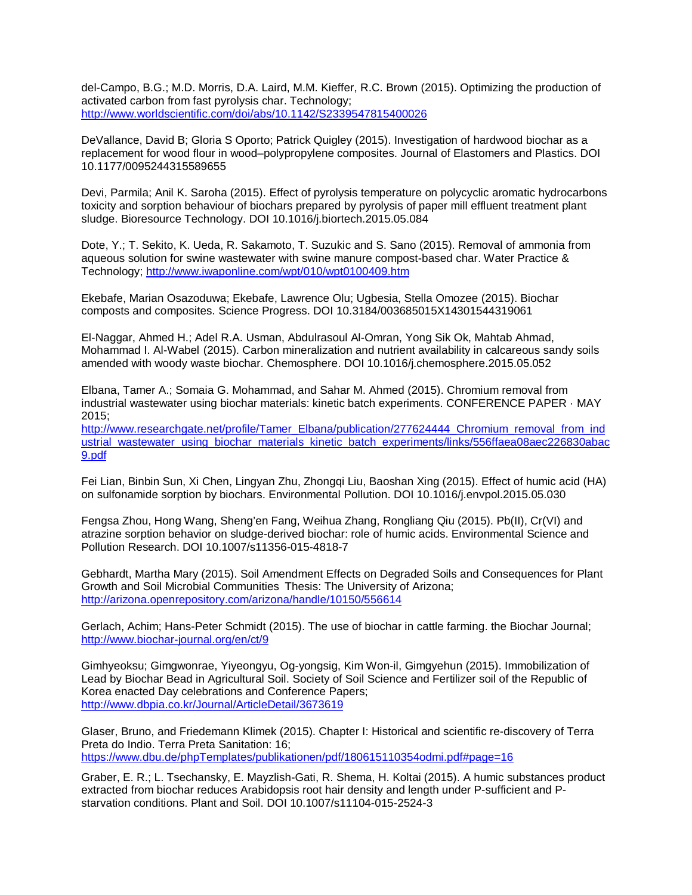del-Campo, B.G.; M.D. Morris, D.A. Laird, M.M. Kieffer, R.C. Brown (2015). Optimizing the production of activated carbon from fast pyrolysis char. Technology; <http://www.worldscientific.com/doi/abs/10.1142/S2339547815400026>

DeVallance, David B; Gloria S Oporto; Patrick Quigley (2015). Investigation of hardwood biochar as a replacement for wood flour in wood–polypropylene composites. Journal of Elastomers and Plastics. DOI 10.1177/0095244315589655

Devi, Parmila; Anil K. Saroha (2015). Effect of pyrolysis temperature on polycyclic aromatic hydrocarbons toxicity and sorption behaviour of biochars prepared by pyrolysis of paper mill effluent treatment plant sludge. Bioresource Technology. DOI 10.1016/j.biortech.2015.05.084

Dote, Y.; T. Sekito, K. Ueda, R. Sakamoto, T. Suzukic and S. Sano (2015). Removal of ammonia from aqueous solution for swine wastewater with swine manure compost-based char. Water Practice & Technology;<http://www.iwaponline.com/wpt/010/wpt0100409.htm>

Ekebafe, Marian Osazoduwa; Ekebafe, Lawrence Olu; Ugbesia, Stella Omozee (2015). Biochar composts and composites. Science Progress. DOI 10.3184/003685015X14301544319061

El-Naggar, Ahmed H.; Adel R.A. Usman, Abdulrasoul Al-Omran, Yong Sik Ok, Mahtab Ahmad, Mohammad I. Al-Wabel (2015). Carbon mineralization and nutrient availability in calcareous sandy soils amended with woody waste biochar. Chemosphere. DOI 10.1016/j.chemosphere.2015.05.052

Elbana, Tamer A.; Somaia G. Mohammad, and Sahar M. Ahmed (2015). Chromium removal from industrial wastewater using biochar materials: kinetic batch experiments. CONFERENCE PAPER · MAY 2015;

[http://www.researchgate.net/profile/Tamer\\_Elbana/publication/277624444\\_Chromium\\_removal\\_from\\_ind](http://www.researchgate.net/profile/Tamer_Elbana/publication/277624444_Chromium_removal_from_industrial_wastewater_using_biochar_materials_kinetic_batch_experiments/links/556ffaea08aec226830abac9.pdf) [ustrial\\_wastewater\\_using\\_biochar\\_materials\\_kinetic\\_batch\\_experiments/links/556ffaea08aec226830abac](http://www.researchgate.net/profile/Tamer_Elbana/publication/277624444_Chromium_removal_from_industrial_wastewater_using_biochar_materials_kinetic_batch_experiments/links/556ffaea08aec226830abac9.pdf) [9.pdf](http://www.researchgate.net/profile/Tamer_Elbana/publication/277624444_Chromium_removal_from_industrial_wastewater_using_biochar_materials_kinetic_batch_experiments/links/556ffaea08aec226830abac9.pdf)

Fei Lian, Binbin Sun, Xi Chen, Lingyan Zhu, Zhongqi Liu, Baoshan Xing (2015). Effect of humic acid (HA) on sulfonamide sorption by biochars. Environmental Pollution. DOI 10.1016/j.envpol.2015.05.030

Fengsa Zhou, Hong Wang, Sheng'en Fang, Weihua Zhang, Rongliang Qiu (2015). Pb(II), Cr(VI) and atrazine sorption behavior on sludge-derived biochar: role of humic acids. Environmental Science and Pollution Research. DOI 10.1007/s11356-015-4818-7

Gebhardt, Martha Mary (2015). Soil Amendment Effects on Degraded Soils and Consequences for Plant Growth and Soil Microbial Communities Thesis: The University of Arizona; <http://arizona.openrepository.com/arizona/handle/10150/556614>

Gerlach, Achim; Hans-Peter Schmidt (2015). The use of biochar in cattle farming. the Biochar Journal; <http://www.biochar-journal.org/en/ct/9>

Gimhyeoksu; Gimgwonrae, Yiyeongyu, Og-yongsig, Kim Won-il, Gimgyehun (2015). Immobilization of Lead by Biochar Bead in Agricultural Soil. Society of Soil Science and Fertilizer soil of the Republic of Korea enacted Day celebrations and Conference Papers; <http://www.dbpia.co.kr/Journal/ArticleDetail/3673619>

Glaser, Bruno, and Friedemann Klimek (2015). Chapter I: Historical and scientific re-discovery of Terra Preta do Indio. Terra Preta Sanitation: 16; [https://www.dbu.de/phpTemplates/publikationen/pdf/180615110354odmi.pdf#page=16](https://www.dbu.de/phpTemplates/publikationen/pdf/180615110354odmi.pdf%23page=16)

Graber, E. R.; L. Tsechansky, E. Mayzlish-Gati, R. Shema, H. Koltai (2015). A humic substances product extracted from biochar reduces Arabidopsis root hair density and length under P-sufficient and Pstarvation conditions. Plant and Soil. DOI 10.1007/s11104-015-2524-3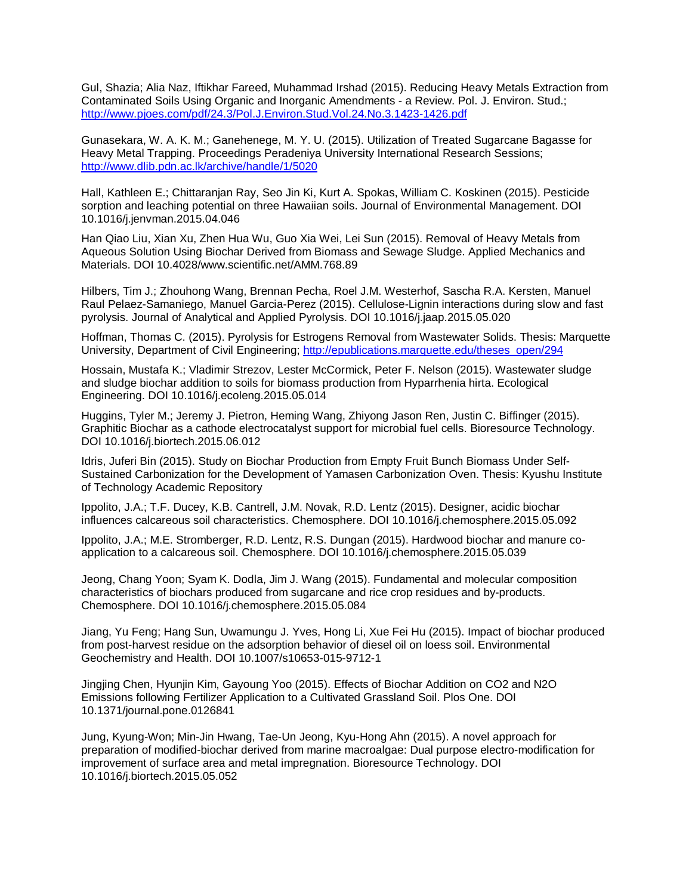Gul, Shazia; Alia Naz, Iftikhar Fareed, Muhammad Irshad (2015). Reducing Heavy Metals Extraction from Contaminated Soils Using Organic and Inorganic Amendments - a Review. Pol. J. Environ. Stud.; <http://www.pjoes.com/pdf/24.3/Pol.J.Environ.Stud.Vol.24.No.3.1423-1426.pdf>

Gunasekara, W. A. K. M.; Ganehenege, M. Y. U. (2015). Utilization of Treated Sugarcane Bagasse for Heavy Metal Trapping. Proceedings Peradeniya University International Research Sessions; <http://www.dlib.pdn.ac.lk/archive/handle/1/5020>

Hall, Kathleen E.; Chittaranjan Ray, Seo Jin Ki, Kurt A. Spokas, William C. Koskinen (2015). Pesticide sorption and leaching potential on three Hawaiian soils. Journal of Environmental Management. DOI 10.1016/j.jenvman.2015.04.046

Han Qiao Liu, Xian Xu, Zhen Hua Wu, Guo Xia Wei, Lei Sun (2015). Removal of Heavy Metals from Aqueous Solution Using Biochar Derived from Biomass and Sewage Sludge. Applied Mechanics and Materials. DOI 10.4028/www.scientific.net/AMM.768.89

Hilbers, Tim J.; Zhouhong Wang, Brennan Pecha, Roel J.M. Westerhof, Sascha R.A. Kersten, Manuel Raul Pelaez-Samaniego, Manuel Garcia-Perez (2015). Cellulose-Lignin interactions during slow and fast pyrolysis. Journal of Analytical and Applied Pyrolysis. DOI 10.1016/j.jaap.2015.05.020

Hoffman, Thomas C. (2015). Pyrolysis for Estrogens Removal from Wastewater Solids. Thesis: Marquette University, Department of Civil Engineering; [http://epublications.marquette.edu/theses\\_open/294](http://epublications.marquette.edu/theses_open/294)

Hossain, Mustafa K.; Vladimir Strezov, Lester McCormick, Peter F. Nelson (2015). Wastewater sludge and sludge biochar addition to soils for biomass production from Hyparrhenia hirta. Ecological Engineering. DOI 10.1016/j.ecoleng.2015.05.014

Huggins, Tyler M.; Jeremy J. Pietron, Heming Wang, Zhiyong Jason Ren, Justin C. Biffinger (2015). Graphitic Biochar as a cathode electrocatalyst support for microbial fuel cells. Bioresource Technology. DOI 10.1016/j.biortech.2015.06.012

Idris, Juferi Bin (2015). Study on Biochar Production from Empty Fruit Bunch Biomass Under Self-Sustained Carbonization for the Development of Yamasen Carbonization Oven. Thesis: Kyushu Institute of Technology Academic Repository

Ippolito, J.A.; T.F. Ducey, K.B. Cantrell, J.M. Novak, R.D. Lentz (2015). Designer, acidic biochar influences calcareous soil characteristics. Chemosphere. DOI 10.1016/j.chemosphere.2015.05.092

Ippolito, J.A.; M.E. Stromberger, R.D. Lentz, R.S. Dungan (2015). Hardwood biochar and manure coapplication to a calcareous soil. Chemosphere. DOI 10.1016/j.chemosphere.2015.05.039

Jeong, Chang Yoon; Syam K. Dodla, Jim J. Wang (2015). Fundamental and molecular composition characteristics of biochars produced from sugarcane and rice crop residues and by-products. Chemosphere. DOI 10.1016/j.chemosphere.2015.05.084

Jiang, Yu Feng; Hang Sun, Uwamungu J. Yves, Hong Li, Xue Fei Hu (2015). Impact of biochar produced from post-harvest residue on the adsorption behavior of diesel oil on loess soil. Environmental Geochemistry and Health. DOI 10.1007/s10653-015-9712-1

Jingjing Chen, Hyunjin Kim, Gayoung Yoo (2015). Effects of Biochar Addition on CO2 and N2O Emissions following Fertilizer Application to a Cultivated Grassland Soil. Plos One. DOI 10.1371/journal.pone.0126841

Jung, Kyung-Won; Min-Jin Hwang, Tae-Un Jeong, Kyu-Hong Ahn (2015). A novel approach for preparation of modified-biochar derived from marine macroalgae: Dual purpose electro-modification for improvement of surface area and metal impregnation. Bioresource Technology. DOI 10.1016/j.biortech.2015.05.052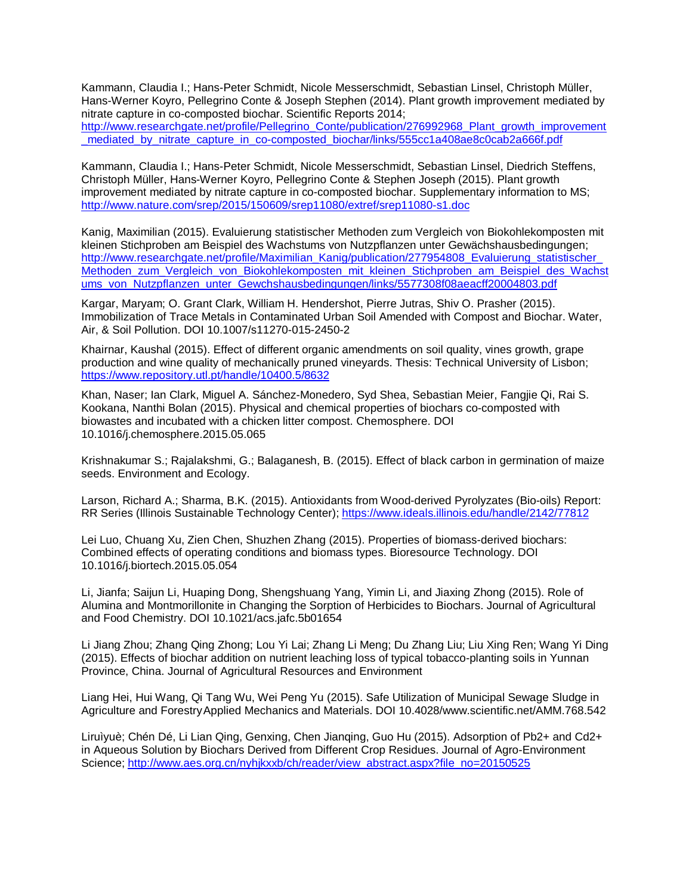Kammann, Claudia I.; Hans-Peter Schmidt, Nicole Messerschmidt, Sebastian Linsel, Christoph Müller, Hans-Werner Koyro, Pellegrino Conte & Joseph Stephen (2014). Plant growth improvement mediated by nitrate capture in co-composted biochar. Scientific Reports 2014; [http://www.researchgate.net/profile/Pellegrino\\_Conte/publication/276992968\\_Plant\\_growth\\_improvement](http://www.researchgate.net/profile/Pellegrino_Conte/publication/276992968_Plant_growth_improvement_mediated_by_nitrate_capture_in_co-composted_biochar/links/555cc1a408ae8c0cab2a666f.pdf) [\\_mediated\\_by\\_nitrate\\_capture\\_in\\_co-composted\\_biochar/links/555cc1a408ae8c0cab2a666f.pdf](http://www.researchgate.net/profile/Pellegrino_Conte/publication/276992968_Plant_growth_improvement_mediated_by_nitrate_capture_in_co-composted_biochar/links/555cc1a408ae8c0cab2a666f.pdf)

Kammann, Claudia I.; Hans-Peter Schmidt, Nicole Messerschmidt, Sebastian Linsel, Diedrich Steffens, Christoph Müller, Hans-Werner Koyro, Pellegrino Conte & Stephen Joseph (2015). Plant growth improvement mediated by nitrate capture in co-composted biochar. Supplementary information to MS; <http://www.nature.com/srep/2015/150609/srep11080/extref/srep11080-s1.doc>

Kanig, Maximilian (2015). Evaluierung statistischer Methoden zum Vergleich von Biokohlekomposten mit kleinen Stichproben am Beispiel des Wachstums von Nutzpflanzen unter Gewächshausbedingungen; http://www.researchgate.net/profile/Maximilian\_Kanig/publication/277954808\_Evaluierung\_statistischer Methoden zum Vergleich von Biokohlekomposten mit kleinen Stichproben am Beispiel des Wachst [ums\\_von\\_Nutzpflanzen\\_unter\\_Gewchshausbedingungen/links/5577308f08aeacff20004803.pdf](http://www.researchgate.net/profile/Maximilian_Kanig/publication/277954808_Evaluierung_statistischer_Methoden_zum_Vergleich_von_Biokohlekomposten_mit_kleinen_Stichproben_am_Beispiel_des_Wachstums_von_Nutzpflanzen_unter_Gewchshausbedingungen/links/5577308f08aeacff20004803.pdf)

Kargar, Maryam; O. Grant Clark, William H. Hendershot, Pierre Jutras, Shiv O. Prasher (2015). Immobilization of Trace Metals in Contaminated Urban Soil Amended with Compost and Biochar. Water, Air, & Soil Pollution. DOI 10.1007/s11270-015-2450-2

Khairnar, Kaushal (2015). Effect of different organic amendments on soil quality, vines growth, grape production and wine quality of mechanically pruned vineyards. Thesis: Technical University of Lisbon; <https://www.repository.utl.pt/handle/10400.5/8632>

Khan, Naser; Ian Clark, Miguel A. Sánchez-Monedero, Syd Shea, Sebastian Meier, Fangjie Qi, Rai S. Kookana, Nanthi Bolan (2015). Physical and chemical properties of biochars co-composted with biowastes and incubated with a chicken litter compost. Chemosphere. DOI 10.1016/j.chemosphere.2015.05.065

Krishnakumar S.; Rajalakshmi, G.; Balaganesh, B. (2015). Effect of black carbon in germination of maize seeds. Environment and Ecology.

Larson, Richard A.; Sharma, B.K. (2015). Antioxidants from Wood-derived Pyrolyzates (Bio-oils) Report: RR Series (Illinois Sustainable Technology Center)[; https://www.ideals.illinois.edu/handle/2142/77812](https://www.ideals.illinois.edu/handle/2142/77812)

Lei Luo, Chuang Xu, Zien Chen, Shuzhen Zhang (2015). Properties of biomass-derived biochars: Combined effects of operating conditions and biomass types. Bioresource Technology. DOI 10.1016/j.biortech.2015.05.054

Li, Jianfa; Saijun Li, Huaping Dong, Shengshuang Yang, Yimin Li, and Jiaxing Zhong (2015). Role of Alumina and Montmorillonite in Changing the Sorption of Herbicides to Biochars. Journal of Agricultural and Food Chemistry. DOI 10.1021/acs.jafc.5b01654

Li Jiang Zhou; Zhang Qing Zhong; Lou Yi Lai; Zhang Li Meng; Du Zhang Liu; Liu Xing Ren; Wang Yi Ding (2015). Effects of biochar addition on nutrient leaching loss of typical tobacco-planting soils in Yunnan Province, China. Journal of Agricultural Resources and Environment

Liang Hei, Hui Wang, Qi Tang Wu, Wei Peng Yu (2015). Safe Utilization of Municipal Sewage Sludge in Agriculture and ForestryApplied Mechanics and Materials. DOI 10.4028/www.scientific.net/AMM.768.542

Liruìyuè; Chén Dé, Li Lian Qing, Genxing, Chen Jianqing, Guo Hu (2015). Adsorption of Pb2+ and Cd2+ in Aqueous Solution by Biochars Derived from Different Crop Residues. Journal of Agro-Environment Science; [http://www.aes.org.cn/nyhjkxxb/ch/reader/view\\_abstract.aspx?file\\_no=20150525](http://www.aes.org.cn/nyhjkxxb/ch/reader/view_abstract.aspx?file_no=20150525)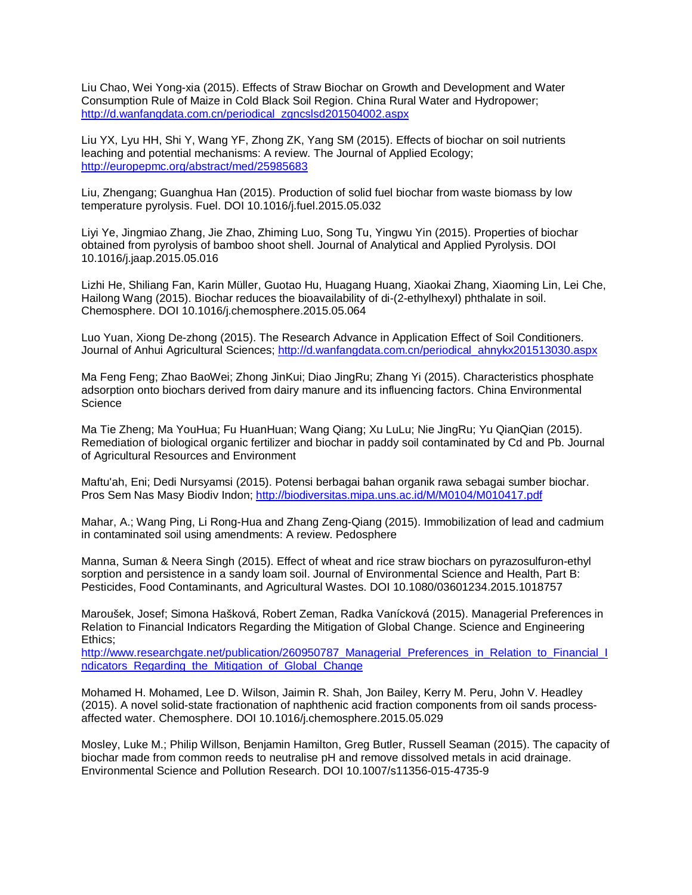Liu Chao, Wei Yong-xia (2015). Effects of Straw Biochar on Growth and Development and Water Consumption Rule of Maize in Cold Black Soil Region. China Rural Water and Hydropower; [http://d.wanfangdata.com.cn/periodical\\_zgncslsd201504002.aspx](http://d.wanfangdata.com.cn/periodical_zgncslsd201504002.aspx)

Liu YX, Lyu HH, Shi Y, Wang YF, Zhong ZK, Yang SM (2015). Effects of biochar on soil nutrients leaching and potential mechanisms: A review. The Journal of Applied Ecology; <http://europepmc.org/abstract/med/25985683>

Liu, Zhengang; Guanghua Han (2015). Production of solid fuel biochar from waste biomass by low temperature pyrolysis. Fuel. DOI 10.1016/j.fuel.2015.05.032

Liyi Ye, Jingmiao Zhang, Jie Zhao, Zhiming Luo, Song Tu, Yingwu Yin (2015). Properties of biochar obtained from pyrolysis of bamboo shoot shell. Journal of Analytical and Applied Pyrolysis. DOI 10.1016/j.jaap.2015.05.016

Lizhi He, Shiliang Fan, Karin Müller, Guotao Hu, Huagang Huang, Xiaokai Zhang, Xiaoming Lin, Lei Che, Hailong Wang (2015). Biochar reduces the bioavailability of di-(2-ethylhexyl) phthalate in soil. Chemosphere. DOI 10.1016/j.chemosphere.2015.05.064

Luo Yuan, Xiong De-zhong (2015). The Research Advance in Application Effect of Soil Conditioners. Journal of Anhui Agricultural Sciences; [http://d.wanfangdata.com.cn/periodical\\_ahnykx201513030.aspx](http://d.wanfangdata.com.cn/periodical_ahnykx201513030.aspx)

Ma Feng Feng; Zhao BaoWei; Zhong JinKui; Diao JingRu; Zhang Yi (2015). Characteristics phosphate adsorption onto biochars derived from dairy manure and its influencing factors. China Environmental **Science** 

Ma Tie Zheng; Ma YouHua; Fu HuanHuan; Wang Qiang; Xu LuLu; Nie JingRu; Yu QianQian (2015). Remediation of biological organic fertilizer and biochar in paddy soil contaminated by Cd and Pb. Journal of Agricultural Resources and Environment

Maftu'ah, Eni; Dedi Nursyamsi (2015). Potensi berbagai bahan organik rawa sebagai sumber biochar. Pros Sem Nas Masy Biodiv Indon;<http://biodiversitas.mipa.uns.ac.id/M/M0104/M010417.pdf>

Mahar, A.; Wang Ping, Li Rong-Hua and Zhang Zeng-Qiang (2015). Immobilization of lead and cadmium in contaminated soil using amendments: A review. Pedosphere

Manna, Suman & Neera Singh (2015). Effect of wheat and rice straw biochars on pyrazosulfuron-ethyl sorption and persistence in a sandy loam soil. Journal of Environmental Science and Health, Part B: Pesticides, Food Contaminants, and Agricultural Wastes. DOI 10.1080/03601234.2015.1018757

Maroušek, Josef; Simona Hašková, Robert Zeman, Radka Vanícková (2015). Managerial Preferences in Relation to Financial Indicators Regarding the Mitigation of Global Change. Science and Engineering Ethics;

http://www.researchgate.net/publication/260950787 Managerial Preferences in Relation to Financial I [ndicators\\_Regarding\\_the\\_Mitigation\\_of\\_Global\\_Change](http://www.researchgate.net/publication/260950787_Managerial_Preferences_in_Relation_to_Financial_Indicators_Regarding_the_Mitigation_of_Global_Change)

Mohamed H. Mohamed, Lee D. Wilson, Jaimin R. Shah, Jon Bailey, Kerry M. Peru, John V. Headley (2015). A novel solid-state fractionation of naphthenic acid fraction components from oil sands processaffected water. Chemosphere. DOI 10.1016/j.chemosphere.2015.05.029

Mosley, Luke M.; Philip Willson, Benjamin Hamilton, Greg Butler, Russell Seaman (2015). The capacity of biochar made from common reeds to neutralise pH and remove dissolved metals in acid drainage. Environmental Science and Pollution Research. DOI 10.1007/s11356-015-4735-9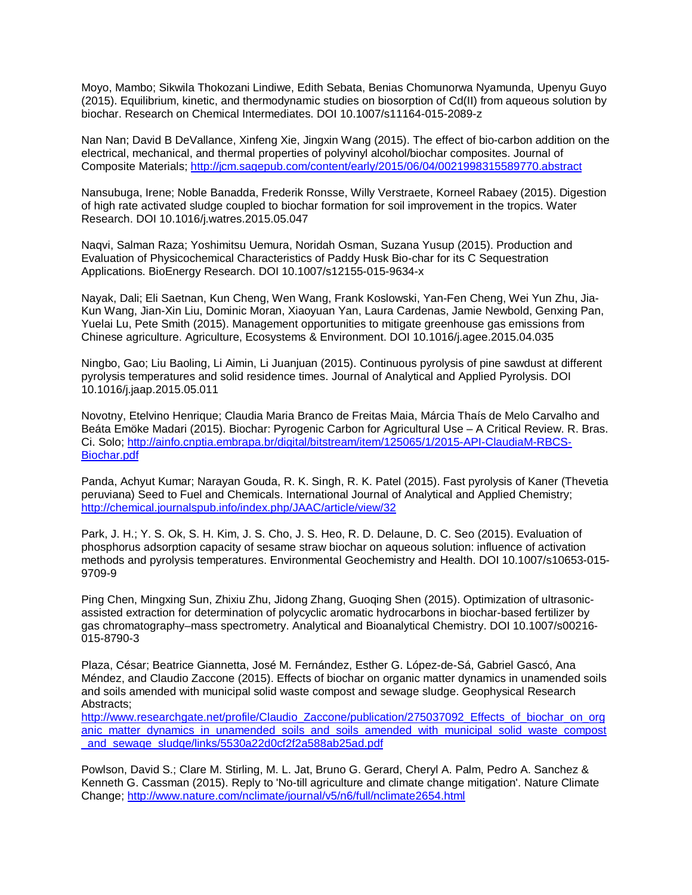Moyo, Mambo; Sikwila Thokozani Lindiwe, Edith Sebata, Benias Chomunorwa Nyamunda, Upenyu Guyo (2015). Equilibrium, kinetic, and thermodynamic studies on biosorption of Cd(II) from aqueous solution by biochar. Research on Chemical Intermediates. DOI 10.1007/s11164-015-2089-z

Nan Nan; David B DeVallance, Xinfeng Xie, Jingxin Wang (2015). The effect of bio-carbon addition on the electrical, mechanical, and thermal properties of polyvinyl alcohol/biochar composites. Journal of Composite Materials[; http://jcm.sagepub.com/content/early/2015/06/04/0021998315589770.abstract](http://jcm.sagepub.com/content/early/2015/06/04/0021998315589770.abstract)

Nansubuga, Irene; Noble Banadda, Frederik Ronsse, Willy Verstraete, Korneel Rabaey (2015). Digestion of high rate activated sludge coupled to biochar formation for soil improvement in the tropics. Water Research. DOI 10.1016/j.watres.2015.05.047

Naqvi, Salman Raza; Yoshimitsu Uemura, Noridah Osman, Suzana Yusup (2015). Production and Evaluation of Physicochemical Characteristics of Paddy Husk Bio-char for its C Sequestration Applications. BioEnergy Research. DOI 10.1007/s12155-015-9634-x

Nayak, Dali; Eli Saetnan, Kun Cheng, Wen Wang, Frank Koslowski, Yan-Fen Cheng, Wei Yun Zhu, Jia-Kun Wang, Jian-Xin Liu, Dominic Moran, Xiaoyuan Yan, Laura Cardenas, Jamie Newbold, Genxing Pan, Yuelai Lu, Pete Smith (2015). Management opportunities to mitigate greenhouse gas emissions from Chinese agriculture. Agriculture, Ecosystems & Environment. DOI 10.1016/j.agee.2015.04.035

Ningbo, Gao; Liu Baoling, Li Aimin, Li Juanjuan (2015). Continuous pyrolysis of pine sawdust at different pyrolysis temperatures and solid residence times. Journal of Analytical and Applied Pyrolysis. DOI 10.1016/j.jaap.2015.05.011

Novotny, Etelvino Henrique; Claudia Maria Branco de Freitas Maia, Márcia Thaís de Melo Carvalho and Beáta Emöke Madari (2015). Biochar: Pyrogenic Carbon for Agricultural Use – A Critical Review. R. Bras. Ci. Solo; [http://ainfo.cnptia.embrapa.br/digital/bitstream/item/125065/1/2015-API-ClaudiaM-RBCS-](http://ainfo.cnptia.embrapa.br/digital/bitstream/item/125065/1/2015-API-ClaudiaM-RBCS-Biochar.pdf)[Biochar.pdf](http://ainfo.cnptia.embrapa.br/digital/bitstream/item/125065/1/2015-API-ClaudiaM-RBCS-Biochar.pdf)

Panda, Achyut Kumar; Narayan Gouda, R. K. Singh, R. K. Patel (2015). Fast pyrolysis of Kaner (Thevetia peruviana) Seed to Fuel and Chemicals. International Journal of Analytical and Applied Chemistry; <http://chemical.journalspub.info/index.php/JAAC/article/view/32>

Park, J. H.; Y. S. Ok, S. H. Kim, J. S. Cho, J. S. Heo, R. D. Delaune, D. C. Seo (2015). Evaluation of phosphorus adsorption capacity of sesame straw biochar on aqueous solution: influence of activation methods and pyrolysis temperatures. Environmental Geochemistry and Health. DOI 10.1007/s10653-015- 9709-9

Ping Chen, Mingxing Sun, Zhixiu Zhu, Jidong Zhang, Guoqing Shen (2015). Optimization of ultrasonicassisted extraction for determination of polycyclic aromatic hydrocarbons in biochar-based fertilizer by gas chromatography–mass spectrometry. Analytical and Bioanalytical Chemistry. DOI 10.1007/s00216- 015-8790-3

Plaza, César; Beatrice Giannetta, José M. Fernández, Esther G. López-de-Sá, Gabriel Gascó, Ana Méndez, and Claudio Zaccone (2015). Effects of biochar on organic matter dynamics in unamended soils and soils amended with municipal solid waste compost and sewage sludge. Geophysical Research Abstracts;

[http://www.researchgate.net/profile/Claudio\\_Zaccone/publication/275037092\\_Effects\\_of\\_biochar\\_on\\_org](http://www.researchgate.net/profile/Claudio_Zaccone/publication/275037092_Effects_of_biochar_on_organic_matter_dynamics_in_unamended_soils_and_soils_amended_with_municipal_solid_waste_compost_and_sewage_sludge/links/5530a22d0cf2f2a588ab25ad.pdf) [anic\\_matter\\_dynamics\\_in\\_unamended\\_soils\\_and\\_soils\\_amended\\_with\\_municipal\\_solid\\_waste\\_compost](http://www.researchgate.net/profile/Claudio_Zaccone/publication/275037092_Effects_of_biochar_on_organic_matter_dynamics_in_unamended_soils_and_soils_amended_with_municipal_solid_waste_compost_and_sewage_sludge/links/5530a22d0cf2f2a588ab25ad.pdf) and sewage sludge/links/5530a22d0cf2f2a588ab25ad.pdf

Powlson, David S.; Clare M. Stirling, M. L. Jat, Bruno G. Gerard, Cheryl A. Palm, Pedro A. Sanchez & Kenneth G. Cassman (2015). Reply to 'No-till agriculture and climate change mitigation'. Nature Climate Change;<http://www.nature.com/nclimate/journal/v5/n6/full/nclimate2654.html>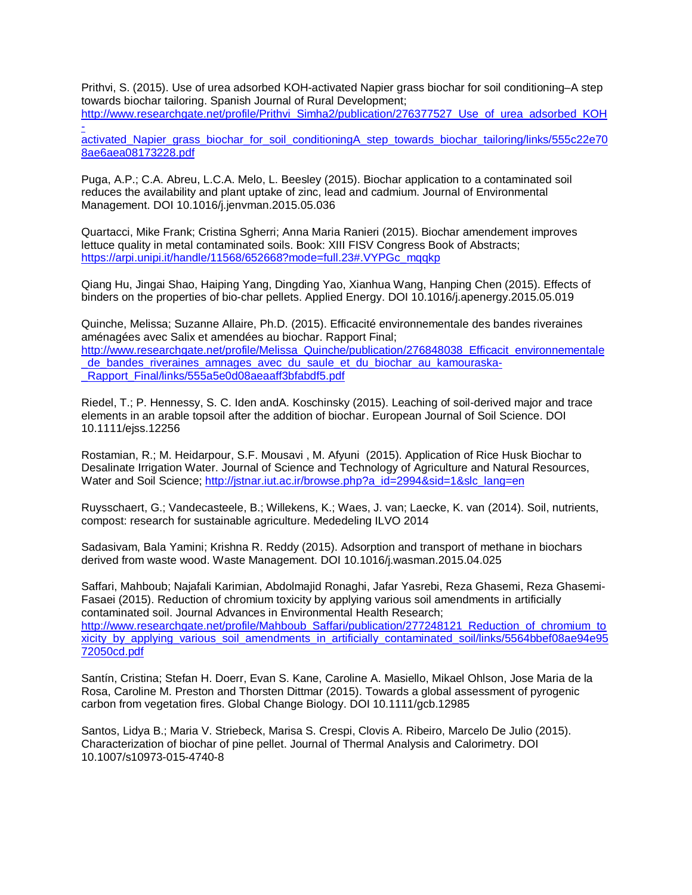Prithvi, S. (2015). Use of urea adsorbed KOH-activated Napier grass biochar for soil conditioning–A step towards biochar tailoring. Spanish Journal of Rural Development; [http://www.researchgate.net/profile/Prithvi\\_Simha2/publication/276377527\\_Use\\_of\\_urea\\_adsorbed\\_KOH](http://www.researchgate.net/profile/Prithvi_Simha2/publication/276377527_Use_of_urea_adsorbed_KOH-activated_Napier_grass_biochar_for_soil_conditioningA_step_towards_biochar_tailoring/links/555c22e708ae6aea08173228.pdf)

 [activated\\_Napier\\_grass\\_biochar\\_for\\_soil\\_conditioningA\\_step\\_towards\\_biochar\\_tailoring/links/555c22e70](http://www.researchgate.net/profile/Prithvi_Simha2/publication/276377527_Use_of_urea_adsorbed_KOH-activated_Napier_grass_biochar_for_soil_conditioningA_step_towards_biochar_tailoring/links/555c22e708ae6aea08173228.pdf) [8ae6aea08173228.pdf](http://www.researchgate.net/profile/Prithvi_Simha2/publication/276377527_Use_of_urea_adsorbed_KOH-activated_Napier_grass_biochar_for_soil_conditioningA_step_towards_biochar_tailoring/links/555c22e708ae6aea08173228.pdf)

Puga, A.P.; C.A. Abreu, L.C.A. Melo, L. Beesley (2015). Biochar application to a contaminated soil reduces the availability and plant uptake of zinc, lead and cadmium. Journal of Environmental Management. DOI 10.1016/j.jenvman.2015.05.036

Quartacci, Mike Frank; Cristina Sgherri; Anna Maria Ranieri (2015). Biochar amendement improves lettuce quality in metal contaminated soils. Book: XIII FISV Congress Book of Abstracts; [https://arpi.unipi.it/handle/11568/652668?mode=full.23#.VYPGc\\_mqqkp](https://arpi.unipi.it/handle/11568/652668?mode=full.23%23.VYPGc_mqqkp)

Qiang Hu, Jingai Shao, Haiping Yang, Dingding Yao, Xianhua Wang, Hanping Chen (2015). Effects of binders on the properties of bio-char pellets. Applied Energy. DOI 10.1016/j.apenergy.2015.05.019

Quinche, Melissa; Suzanne Allaire, Ph.D. (2015). Efficacité environnementale des bandes riveraines aménagées avec Salix et amendées au biochar. Rapport Final; [http://www.researchgate.net/profile/Melissa\\_Quinche/publication/276848038\\_Efficacit\\_environnementale](http://www.researchgate.net/profile/Melissa_Quinche/publication/276848038_Efficacit_environnementale_de_bandes_riveraines_amnages_avec_du_saule_et_du_biochar_au_kamouraska-_Rapport_Final/links/555a5e0d08aeaaff3bfabdf5.pdf) de bandes riveraines amnages avec du saule et du biochar au kamouraska-

Rapport\_Final/links/555a5e0d08aeaaff3bfabdf5.pdf

Riedel, T.; P. Hennessy, S. C. Iden andA. Koschinsky (2015). Leaching of soil-derived major and trace elements in an arable topsoil after the addition of biochar. European Journal of Soil Science. DOI 10.1111/ejss.12256

Rostamian, R.; M. Heidarpour, S.F. Mousavi , M. Afyuni (2015). Application of Rice Husk Biochar to Desalinate Irrigation Water. Journal of Science and Technology of Agriculture and Natural Resources, Water and Soil Science; [http://jstnar.iut.ac.ir/browse.php?a\\_id=2994&sid=1&slc\\_lang=en](http://jstnar.iut.ac.ir/browse.php?a_id=2994&sid=1&slc_lang=en)

Ruysschaert, G.; Vandecasteele, B.; Willekens, K.; Waes, J. van; Laecke, K. van (2014). Soil, nutrients, compost: research for sustainable agriculture. Mededeling ILVO 2014

Sadasivam, Bala Yamini; Krishna R. Reddy (2015). Adsorption and transport of methane in biochars derived from waste wood. Waste Management. DOI 10.1016/j.wasman.2015.04.025

Saffari, Mahboub; Najafali Karimian, Abdolmajid Ronaghi, Jafar Yasrebi, Reza Ghasemi, Reza Ghasemi-Fasaei (2015). Reduction of chromium toxicity by applying various soil amendments in artificially contaminated soil. Journal Advances in Environmental Health Research; [http://www.researchgate.net/profile/Mahboub\\_Saffari/publication/277248121\\_Reduction\\_of\\_chromium\\_to](http://www.researchgate.net/profile/Mahboub_Saffari/publication/277248121_Reduction_of_chromium_toxicity_by_applying_various_soil_amendments_in_artificially_contaminated_soil/links/5564bbef08ae94e9572050cd.pdf) [xicity\\_by\\_applying\\_various\\_soil\\_amendments\\_in\\_artificially\\_contaminated\\_soil/links/5564bbef08ae94e95](http://www.researchgate.net/profile/Mahboub_Saffari/publication/277248121_Reduction_of_chromium_toxicity_by_applying_various_soil_amendments_in_artificially_contaminated_soil/links/5564bbef08ae94e9572050cd.pdf) [72050cd.pdf](http://www.researchgate.net/profile/Mahboub_Saffari/publication/277248121_Reduction_of_chromium_toxicity_by_applying_various_soil_amendments_in_artificially_contaminated_soil/links/5564bbef08ae94e9572050cd.pdf)

Santín, Cristina; Stefan H. Doerr, Evan S. Kane, Caroline A. Masiello, Mikael Ohlson, Jose Maria de la Rosa, Caroline M. Preston and Thorsten Dittmar (2015). Towards a global assessment of pyrogenic carbon from vegetation fires. Global Change Biology. DOI 10.1111/gcb.12985

Santos, Lidya B.; Maria V. Striebeck, Marisa S. Crespi, Clovis A. Ribeiro, Marcelo De Julio (2015). Characterization of biochar of pine pellet. Journal of Thermal Analysis and Calorimetry. DOI 10.1007/s10973-015-4740-8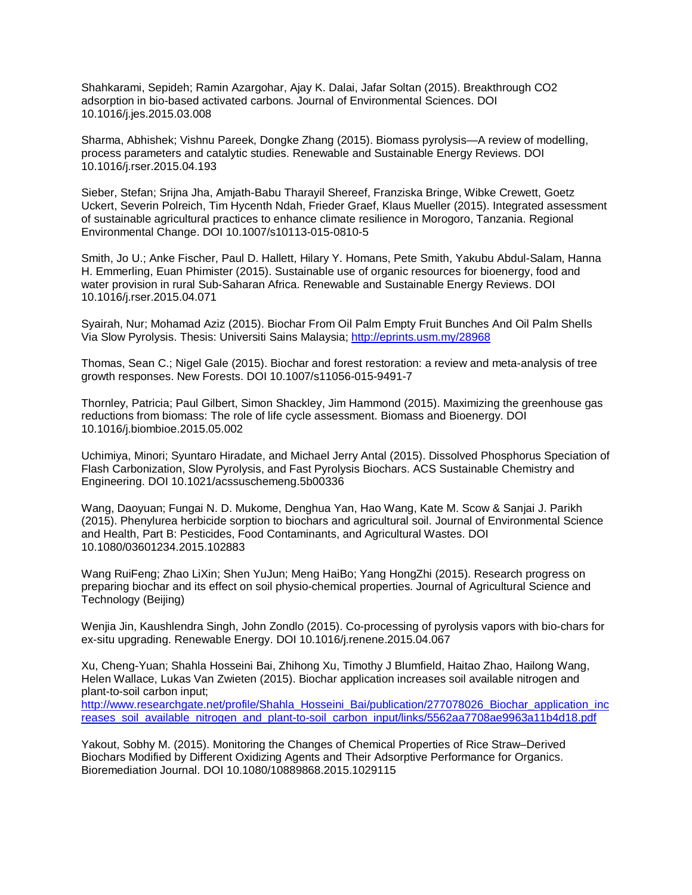Shahkarami, Sepideh; Ramin Azargohar, Ajay K. Dalai, Jafar Soltan (2015). Breakthrough CO2 adsorption in bio-based activated carbons. Journal of Environmental Sciences. DOI 10.1016/j.jes.2015.03.008

Sharma, Abhishek; Vishnu Pareek, Dongke Zhang (2015). Biomass pyrolysis—A review of modelling, process parameters and catalytic studies. Renewable and Sustainable Energy Reviews. DOI 10.1016/j.rser.2015.04.193

Sieber, Stefan; Srijna Jha, Amjath-Babu Tharayil Shereef, Franziska Bringe, Wibke Crewett, Goetz Uckert, Severin Polreich, Tim Hycenth Ndah, Frieder Graef, Klaus Mueller (2015). Integrated assessment of sustainable agricultural practices to enhance climate resilience in Morogoro, Tanzania. Regional Environmental Change. DOI 10.1007/s10113-015-0810-5

Smith, Jo U.; Anke Fischer, Paul D. Hallett, Hilary Y. Homans, Pete Smith, Yakubu Abdul-Salam, Hanna H. Emmerling, Euan Phimister (2015). Sustainable use of organic resources for bioenergy, food and water provision in rural Sub-Saharan Africa. Renewable and Sustainable Energy Reviews. DOI 10.1016/j.rser.2015.04.071

Syairah, Nur; Mohamad Aziz (2015). Biochar From Oil Palm Empty Fruit Bunches And Oil Palm Shells Via Slow Pyrolysis. Thesis: Universiti Sains Malaysia;<http://eprints.usm.my/28968>

Thomas, Sean C.; Nigel Gale (2015). Biochar and forest restoration: a review and meta-analysis of tree growth responses. New Forests. DOI 10.1007/s11056-015-9491-7

Thornley, Patricia; Paul Gilbert, Simon Shackley, Jim Hammond (2015). Maximizing the greenhouse gas reductions from biomass: The role of life cycle assessment. Biomass and Bioenergy. DOI 10.1016/j.biombioe.2015.05.002

Uchimiya, Minori; Syuntaro Hiradate, and Michael Jerry Antal (2015). Dissolved Phosphorus Speciation of Flash Carbonization, Slow Pyrolysis, and Fast Pyrolysis Biochars. ACS Sustainable Chemistry and Engineering. DOI 10.1021/acssuschemeng.5b00336

Wang, Daoyuan; Fungai N. D. Mukome, Denghua Yan, Hao Wang, Kate M. Scow & Sanjai J. Parikh (2015). Phenylurea herbicide sorption to biochars and agricultural soil. Journal of Environmental Science and Health, Part B: Pesticides, Food Contaminants, and Agricultural Wastes. DOI 10.1080/03601234.2015.102883

Wang RuiFeng; Zhao LiXin; Shen YuJun; Meng HaiBo; Yang HongZhi (2015). Research progress on preparing biochar and its effect on soil physio-chemical properties. Journal of Agricultural Science and Technology (Beijing)

Wenjia Jin, Kaushlendra Singh, John Zondlo (2015). Co-processing of pyrolysis vapors with bio-chars for ex-situ upgrading. Renewable Energy. DOI 10.1016/j.renene.2015.04.067

Xu, Cheng-Yuan; Shahla Hosseini Bai, Zhihong Xu, Timothy J Blumfield, Haitao Zhao, Hailong Wang, Helen Wallace, Lukas Van Zwieten (2015). Biochar application increases soil available nitrogen and plant-to-soil carbon input; [http://www.researchgate.net/profile/Shahla\\_Hosseini\\_Bai/publication/277078026\\_Biochar\\_application\\_inc](http://www.researchgate.net/profile/Shahla_Hosseini_Bai/publication/277078026_Biochar_application_increases_soil_available_nitrogen_and_plant-to-soil_carbon_input/links/5562aa7708ae9963a11b4d18.pdf) [reases\\_soil\\_available\\_nitrogen\\_and\\_plant-to-soil\\_carbon\\_input/links/5562aa7708ae9963a11b4d18.pdf](http://www.researchgate.net/profile/Shahla_Hosseini_Bai/publication/277078026_Biochar_application_increases_soil_available_nitrogen_and_plant-to-soil_carbon_input/links/5562aa7708ae9963a11b4d18.pdf)

Yakout, Sobhy M. (2015). Monitoring the Changes of Chemical Properties of Rice Straw–Derived Biochars Modified by Different Oxidizing Agents and Their Adsorptive Performance for Organics. Bioremediation Journal. DOI 10.1080/10889868.2015.1029115